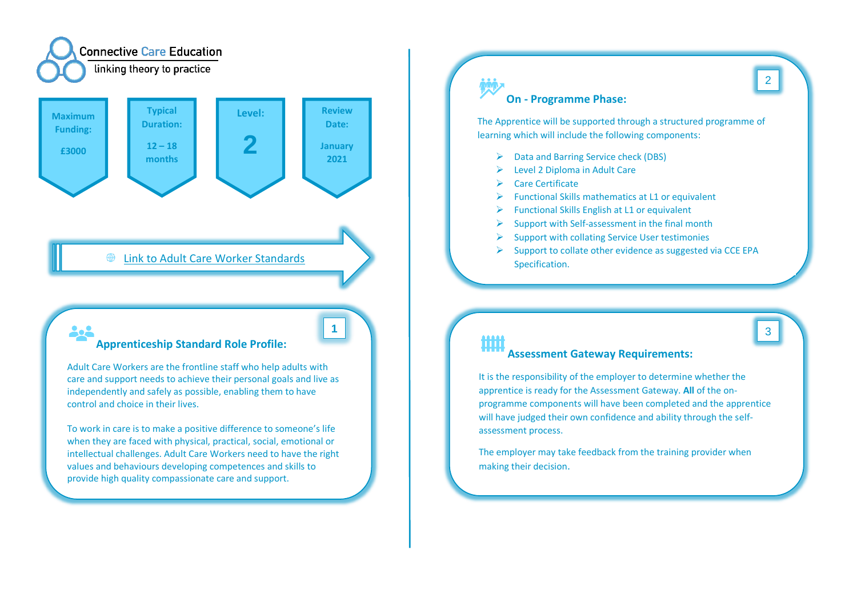

## **● [Link to Adult Care Worker Standards](https://www.instituteforapprenticeships.org/apprenticeship-standards/adult-care-worker/)**

# **Apprenticeship Standard Role Profile:**

Adult Care Workers are the frontline staff who help adults with care and support needs to achieve their personal goals and live as independently and safely as possible, enabling them to have control and choice in their lives.

To work in care is to make a positive difference to someone's life when they are faced with physical, practical, social, emotional or intellectual challenges. Adult Care Workers need to have the right values and behaviours developing competences and skills to provide high quality compassionate care and support.

# **On - Programme Phase:**

The Apprentice will be supported through a structured programme of learning which will include the following components:

- ➢ Data and Barring Service check (DBS)
- ➢ Level 2 Diploma in Adult Care
- ➢ Care Certificate
- $\triangleright$  Functional Skills mathematics at L1 or equivalent
- $\triangleright$  Functional Skills English at L1 or equivalent
- $\triangleright$  Support with Self-assessment in the final month
- ➢ Support with collating Service User testimonies
- $\triangleright$  Support to collate other evidence as suggested via CCE EPA Specification.

# **1** 3 Шij

### **Assessment Gateway Requirements:**

It is the responsibility of the employer to determine whether the apprentice is ready for the Assessment Gateway. **All** of the onprogramme components will have been completed and the apprentice will have judged their own confidence and ability through the selfassessment process.

The employer may take feedback from the training provider when making their decision.

2